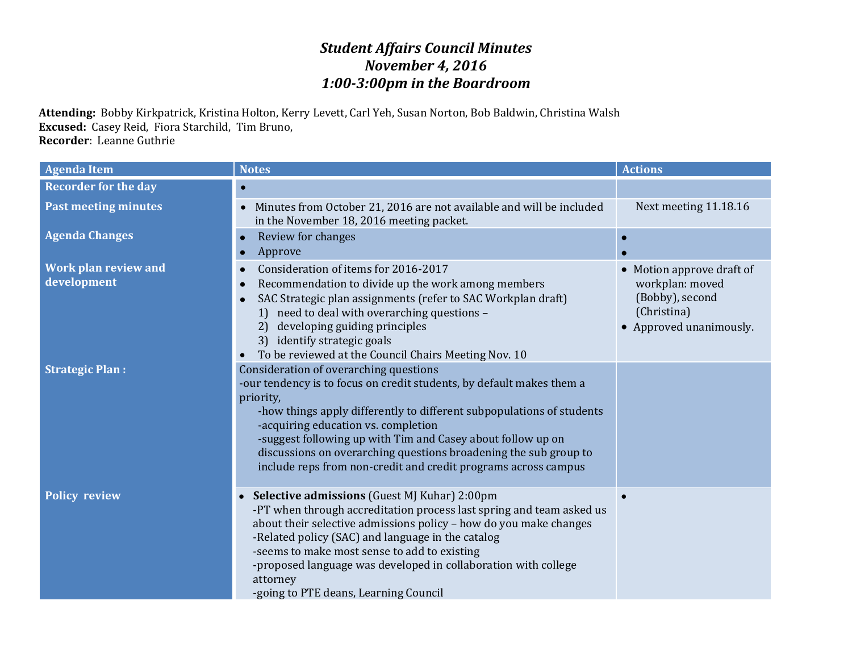## *Student Affairs Council Minutes November 4, 2016 1:00-3:00pm in the Boardroom*

**Attending:** Bobby Kirkpatrick, Kristina Holton, Kerry Levett, Carl Yeh, Susan Norton, Bob Baldwin, Christina Walsh **Excused:** Casey Reid, Fiora Starchild, Tim Bruno, **Recorder**: Leanne Guthrie

| <b>Agenda Item</b>                         | <b>Notes</b>                                                                                                                                                                                                                                                                                                                                                                                                                                      | <b>Actions</b>                                                                                          |
|--------------------------------------------|---------------------------------------------------------------------------------------------------------------------------------------------------------------------------------------------------------------------------------------------------------------------------------------------------------------------------------------------------------------------------------------------------------------------------------------------------|---------------------------------------------------------------------------------------------------------|
| <b>Recorder for the day</b>                | $\bullet$                                                                                                                                                                                                                                                                                                                                                                                                                                         |                                                                                                         |
| <b>Past meeting minutes</b>                | Minutes from October 21, 2016 are not available and will be included<br>in the November 18, 2016 meeting packet.                                                                                                                                                                                                                                                                                                                                  | Next meeting 11.18.16                                                                                   |
| <b>Agenda Changes</b>                      | Review for changes<br>$\bullet$<br>Approve<br>$\bullet$                                                                                                                                                                                                                                                                                                                                                                                           |                                                                                                         |
| <b>Work plan review and</b><br>development | Consideration of items for 2016-2017<br>$\bullet$<br>Recommendation to divide up the work among members<br>SAC Strategic plan assignments (refer to SAC Workplan draft)<br>need to deal with overarching questions -<br>developing guiding principles<br>2)<br>3) identify strategic goals<br>To be reviewed at the Council Chairs Meeting Nov. 10                                                                                                | Motion approve draft of<br>workplan: moved<br>(Bobby), second<br>(Christina)<br>• Approved unanimously. |
| <b>Strategic Plan:</b>                     | Consideration of overarching questions<br>-our tendency is to focus on credit students, by default makes them a<br>priority,<br>-how things apply differently to different subpopulations of students<br>-acquiring education vs. completion<br>-suggest following up with Tim and Casey about follow up on<br>discussions on overarching questions broadening the sub group to<br>include reps from non-credit and credit programs across campus |                                                                                                         |
| <b>Policy review</b>                       | Selective admissions (Guest MJ Kuhar) 2:00pm<br>-PT when through accreditation process last spring and team asked us<br>about their selective admissions policy - how do you make changes<br>-Related policy (SAC) and language in the catalog<br>-seems to make most sense to add to existing<br>-proposed language was developed in collaboration with college<br>attorney<br>-going to PTE deans, Learning Council                             |                                                                                                         |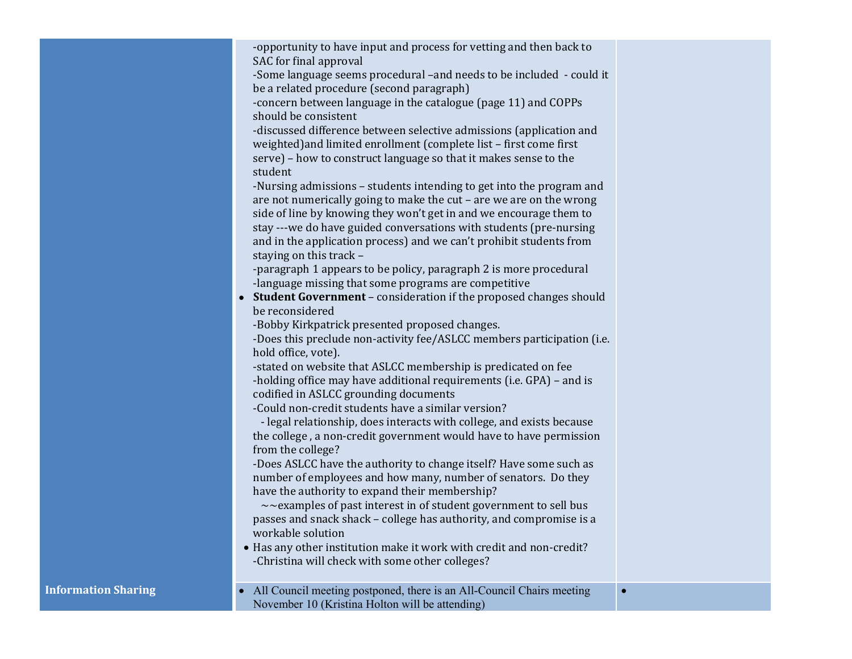|                            | -opportunity to have input and process for vetting and then back to<br>SAC for final approval<br>-Some language seems procedural -and needs to be included - could it<br>be a related procedure (second paragraph)<br>-concern between language in the catalogue (page 11) and COPPs<br>should be consistent<br>-discussed difference between selective admissions (application and<br>weighted) and limited enrollment (complete list - first come first<br>serve) - how to construct language so that it makes sense to the<br>student<br>-Nursing admissions - students intending to get into the program and<br>are not numerically going to make the cut - are we are on the wrong<br>side of line by knowing they won't get in and we encourage them to<br>stay ---we do have guided conversations with students (pre-nursing<br>and in the application process) and we can't prohibit students from<br>staying on this track -<br>-paragraph 1 appears to be policy, paragraph 2 is more procedural<br>-language missing that some programs are competitive<br>• Student Government - consideration if the proposed changes should<br>be reconsidered<br>-Bobby Kirkpatrick presented proposed changes.<br>-Does this preclude non-activity fee/ASLCC members participation (i.e.<br>hold office, vote).<br>-stated on website that ASLCC membership is predicated on fee<br>-holding office may have additional requirements (i.e. GPA) - and is<br>codified in ASLCC grounding documents<br>-Could non-credit students have a similar version?<br>- legal relationship, does interacts with college, and exists because<br>the college, a non-credit government would have to have permission<br>from the college?<br>-Does ASLCC have the authority to change itself? Have some such as<br>number of employees and how many, number of senators. Do they<br>have the authority to expand their membership?<br>$\sim$ examples of past interest in of student government to sell bus<br>passes and snack shack - college has authority, and compromise is a<br>workable solution<br>• Has any other institution make it work with credit and non-credit?<br>-Christina will check with some other colleges? |           |
|----------------------------|----------------------------------------------------------------------------------------------------------------------------------------------------------------------------------------------------------------------------------------------------------------------------------------------------------------------------------------------------------------------------------------------------------------------------------------------------------------------------------------------------------------------------------------------------------------------------------------------------------------------------------------------------------------------------------------------------------------------------------------------------------------------------------------------------------------------------------------------------------------------------------------------------------------------------------------------------------------------------------------------------------------------------------------------------------------------------------------------------------------------------------------------------------------------------------------------------------------------------------------------------------------------------------------------------------------------------------------------------------------------------------------------------------------------------------------------------------------------------------------------------------------------------------------------------------------------------------------------------------------------------------------------------------------------------------------------------------------------------------------------------------------------------------------------------------------------------------------------------------------------------------------------------------------------------------------------------------------------------------------------------------------------------------------------------------------------------------------------------------------------------------------------------------------------------------------------------------------------|-----------|
| <b>Information Sharing</b> | All Council meeting postponed, there is an All-Council Chairs meeting<br>$\bullet$<br>November 10 (Kristina Holton will be attending)                                                                                                                                                                                                                                                                                                                                                                                                                                                                                                                                                                                                                                                                                                                                                                                                                                                                                                                                                                                                                                                                                                                                                                                                                                                                                                                                                                                                                                                                                                                                                                                                                                                                                                                                                                                                                                                                                                                                                                                                                                                                                | $\bullet$ |